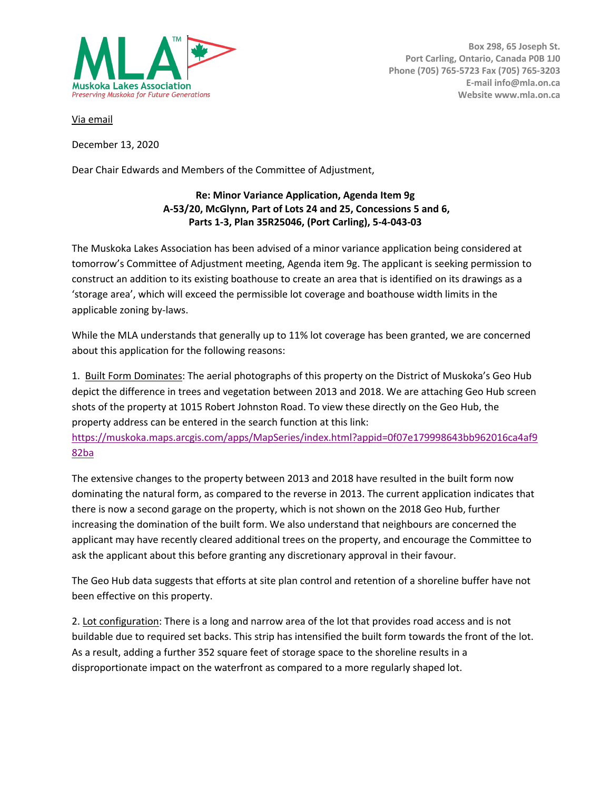

**Box 298, 65 Joseph St. Port Carling, Ontario, Canada P0B 1J0 Phone (705) 765-5723 Fax (705) 765-3203 E-mail info@mla.on.ca Website www.mla.on.ca**

Via email

December 13, 2020

Dear Chair Edwards and Members of the Committee of Adjustment,

## **Re: Minor Variance Application, Agenda Item 9g A-53/20, McGlynn, Part of Lots 24 and 25, Concessions 5 and 6, Parts 1-3, Plan 35R25046, (Port Carling), 5-4-043-03**

The Muskoka Lakes Association has been advised of a minor variance application being considered at tomorrow's Committee of Adjustment meeting, Agenda item 9g. The applicant is seeking permission to construct an addition to its existing boathouse to create an area that is identified on its drawings as a 'storage area', which will exceed the permissible lot coverage and boathouse width limits in the applicable zoning by-laws.

While the MLA understands that generally up to 11% lot coverage has been granted, we are concerned about this application for the following reasons:

1. Built Form Dominates: The aerial photographs of this property on the District of Muskoka's Geo Hub depict the difference in trees and vegetation between 2013 and 2018. We are attaching Geo Hub screen shots of the property at 1015 Robert Johnston Road. To view these directly on the Geo Hub, the property address can be entered in the search function at this link:

https://muskoka.maps.arcgis.com/apps/MapSeries/index.html?appid=0f07e179998643bb962016ca4af9 82ba

The extensive changes to the property between 2013 and 2018 have resulted in the built form now dominating the natural form, as compared to the reverse in 2013. The current application indicates that there is now a second garage on the property, which is not shown on the 2018 Geo Hub, further increasing the domination of the built form. We also understand that neighbours are concerned the applicant may have recently cleared additional trees on the property, and encourage the Committee to ask the applicant about this before granting any discretionary approval in their favour.

The Geo Hub data suggests that efforts at site plan control and retention of a shoreline buffer have not been effective on this property.

2. Lot configuration: There is a long and narrow area of the lot that provides road access and is not buildable due to required set backs. This strip has intensified the built form towards the front of the lot. As a result, adding a further 352 square feet of storage space to the shoreline results in a disproportionate impact on the waterfront as compared to a more regularly shaped lot.